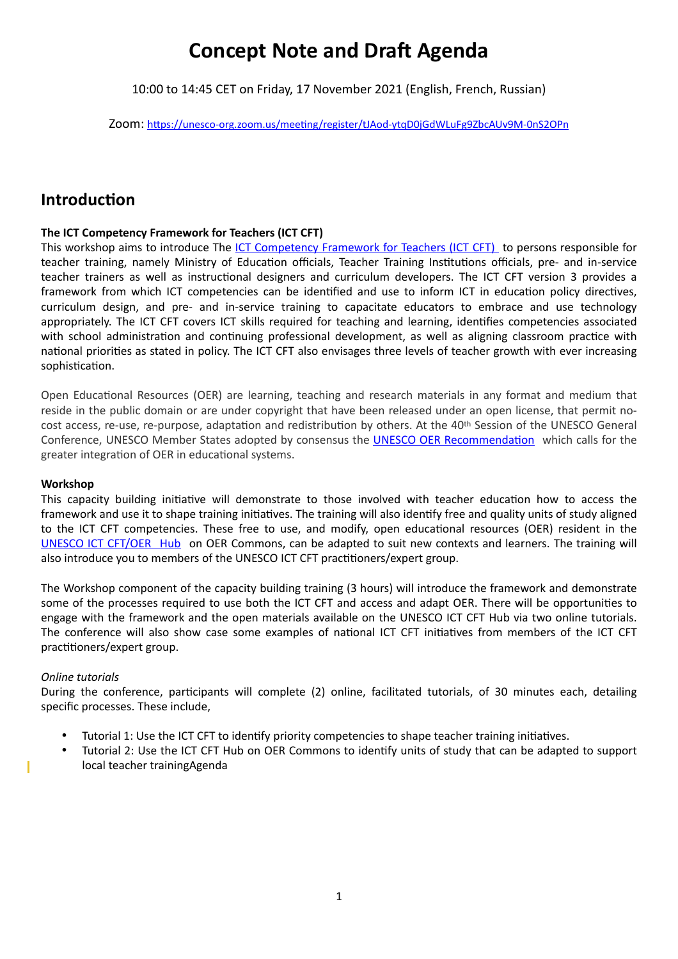# **Concept Note and Draft Agenda**

10:00 to 14:45 CET on Friday, 17 November 2021 (English, French, Russian)

Zoom: https://unesco-org.zoom.us/meeting/register/tJAod-ytqD0jGdWLuFg9ZbcAUv9M-0nS2OPn

# **Introduction**

## **The ICT Competency Framework for Teachers (ICT CFT)**

This workshop aims to introduce The [ICT Competency Framework for Teachers \(ICT CFT\)](https://unesdoc.unesco.org/ark:/48223/pf0000265721) to persons responsible for teacher training, namely Ministry of Education officials, Teacher Training Institutions officials, pre- and in-service teacher trainers as well as instructional designers and curriculum developers. The ICT CFT version 3 provides a framework from which ICT competencies can be identified and use to inform ICT in education policy directives, curriculum design, and pre- and in-service training to capacitate educators to embrace and use technology appropriately. The ICT CFT covers ICT skills required for teaching and learning, identifies competencies associated with school administration and continuing professional development, as well as aligning classroom practice with national priorities as stated in policy. The ICT CFT also envisages three levels of teacher growth with ever increasing sophistication.

Open Educational Resources (OER) are learning, teaching and research materials in any format and medium that reside in the public domain or are under copyright that have been released under an open license, that permit nocost access, re-use, re-purpose, adaptation and redistribution by others. At the 40<sup>th</sup> Session of the UNESCO General Conference, UNESCO Member States adopted by consensus the **UNESCO OER Recommendation** which calls for the greater integration of OER in educational systems.

#### **Workshop**

This capacity building initiative will demonstrate to those involved with teacher education how to access the framework and use it to shape training initiatives. The training will also identify free and quality units of study aligned to the ICT CFT competencies. These free to use, and modify, open educational resources (OER) resident in the [UNESCO ICT CFT/OER Hub](https://www.oercommons.org/hubs/UNESCO) on OER Commons, can be adapted to suit new contexts and learners. The training will also introduce you to members of the UNESCO ICT CFT practitioners/expert group.

The Workshop component of the capacity building training (3 hours) will introduce the framework and demonstrate some of the processes required to use both the ICT CFT and access and adapt OER. There will be opportunities to engage with the framework and the open materials available on the UNESCO ICT CFT Hub via two online tutorials. The conference will also show case some examples of national ICT CFT initiatives from members of the ICT CFT practitioners/expert group.

### *Online tutorials*

Π

During the conference, participants will complete (2) online, facilitated tutorials, of 30 minutes each, detailing specific processes. These include,

- Tutorial 1: Use the ICT CFT to identify priority competencies to shape teacher training initiatives.
- Tutorial 2: Use the ICT CFT Hub on OER Commons to identify units of study that can be adapted to support local teacher trainingAgenda